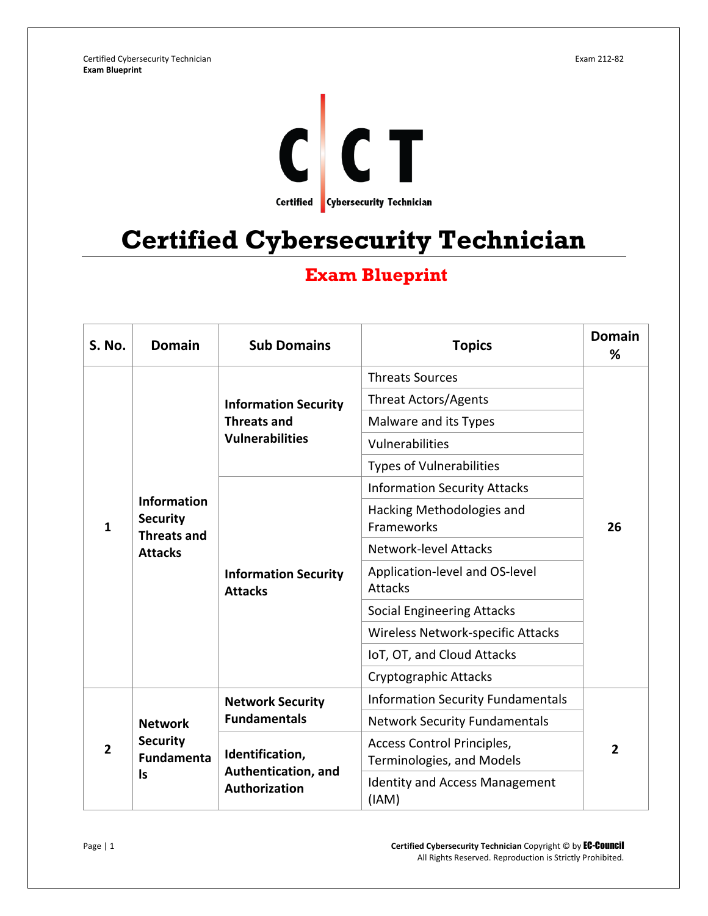

## **Certified Cybersecurity Technician**

## **Exam Blueprint**

| <b>S. No.</b>  | <b>Domain</b>                                                                 | <b>Sub Domains</b>                                                          | <b>Topics</b>                                           | <b>Domain</b><br>% |
|----------------|-------------------------------------------------------------------------------|-----------------------------------------------------------------------------|---------------------------------------------------------|--------------------|
|                | <b>Information</b><br><b>Security</b><br><b>Threats and</b><br><b>Attacks</b> | <b>Information Security</b><br><b>Threats and</b><br><b>Vulnerabilities</b> | <b>Threats Sources</b>                                  | 26                 |
|                |                                                                               |                                                                             | <b>Threat Actors/Agents</b>                             |                    |
|                |                                                                               |                                                                             | Malware and its Types                                   |                    |
|                |                                                                               |                                                                             | Vulnerabilities                                         |                    |
|                |                                                                               |                                                                             | <b>Types of Vulnerabilities</b>                         |                    |
|                |                                                                               | <b>Information Security</b><br><b>Attacks</b>                               | <b>Information Security Attacks</b>                     |                    |
| $\mathbf{1}$   |                                                                               |                                                                             | Hacking Methodologies and<br>Frameworks                 |                    |
|                |                                                                               |                                                                             | <b>Network-level Attacks</b>                            |                    |
|                |                                                                               |                                                                             | Application-level and OS-level<br>Attacks               |                    |
|                |                                                                               |                                                                             | <b>Social Engineering Attacks</b>                       |                    |
|                |                                                                               |                                                                             | Wireless Network-specific Attacks                       |                    |
|                |                                                                               |                                                                             | IoT, OT, and Cloud Attacks                              |                    |
|                |                                                                               |                                                                             | Cryptographic Attacks                                   |                    |
| $\overline{2}$ | <b>Network</b><br><b>Security</b><br><b>Fundamenta</b><br><b>Is</b>           | <b>Network Security</b><br><b>Fundamentals</b>                              | <b>Information Security Fundamentals</b>                | $\overline{2}$     |
|                |                                                                               |                                                                             | <b>Network Security Fundamentals</b>                    |                    |
|                |                                                                               | Identification,<br>Authentication, and<br>Authorization                     | Access Control Principles,<br>Terminologies, and Models |                    |
|                |                                                                               |                                                                             | <b>Identity and Access Management</b><br>(IAM)          |                    |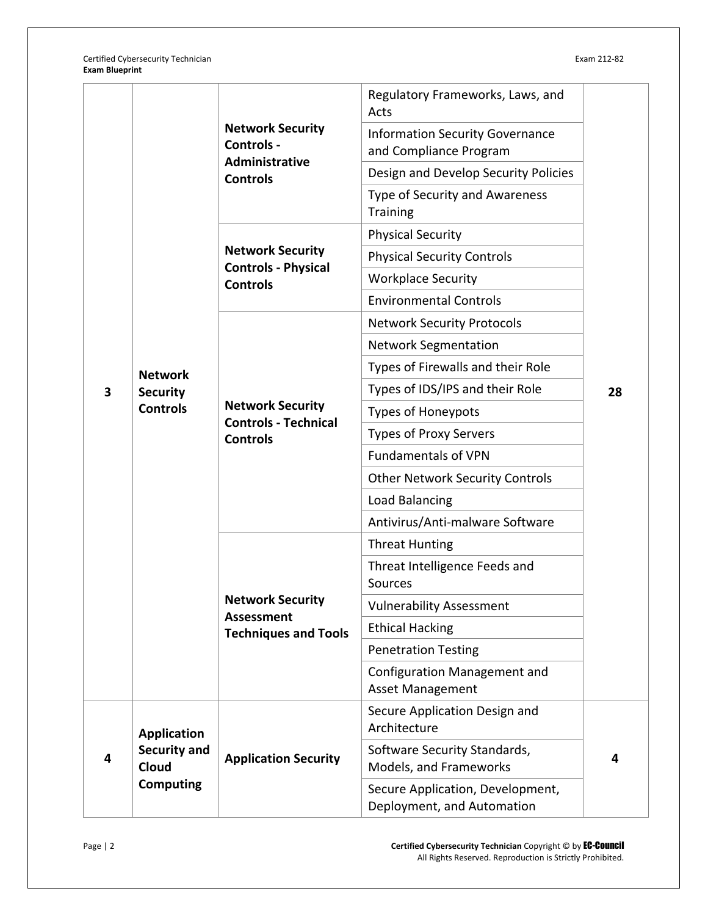Certified Cybersecurity Technician Exam 212-82 **Exam Blueprint**

|   |                                                                        | <b>Network Security</b><br>Controls -<br><b>Administrative</b><br><b>Controls</b> | Regulatory Frameworks, Laws, and<br>Acts                         |    |
|---|------------------------------------------------------------------------|-----------------------------------------------------------------------------------|------------------------------------------------------------------|----|
|   |                                                                        |                                                                                   | <b>Information Security Governance</b><br>and Compliance Program |    |
|   |                                                                        |                                                                                   | Design and Develop Security Policies                             |    |
|   |                                                                        |                                                                                   | Type of Security and Awareness<br><b>Training</b>                |    |
|   |                                                                        | <b>Network Security</b><br><b>Controls - Physical</b><br><b>Controls</b>          | <b>Physical Security</b>                                         |    |
|   |                                                                        |                                                                                   | <b>Physical Security Controls</b>                                |    |
|   |                                                                        |                                                                                   | <b>Workplace Security</b>                                        |    |
|   |                                                                        |                                                                                   | <b>Environmental Controls</b>                                    |    |
|   |                                                                        |                                                                                   | <b>Network Security Protocols</b>                                |    |
|   |                                                                        |                                                                                   | <b>Network Segmentation</b>                                      | 28 |
|   | <b>Network</b>                                                         |                                                                                   | Types of Firewalls and their Role                                |    |
| 3 | <b>Security</b><br><b>Controls</b>                                     | <b>Network Security</b><br><b>Controls - Technical</b><br><b>Controls</b>         | Types of IDS/IPS and their Role                                  |    |
|   |                                                                        |                                                                                   | <b>Types of Honeypots</b>                                        |    |
|   |                                                                        |                                                                                   | <b>Types of Proxy Servers</b>                                    |    |
|   |                                                                        |                                                                                   | <b>Fundamentals of VPN</b>                                       |    |
|   |                                                                        |                                                                                   | <b>Other Network Security Controls</b>                           |    |
|   |                                                                        |                                                                                   | Load Balancing                                                   |    |
|   |                                                                        |                                                                                   | Antivirus/Anti-malware Software                                  |    |
|   |                                                                        | <b>Network Security</b><br><b>Assessment</b><br><b>Techniques and Tools</b>       | <b>Threat Hunting</b>                                            |    |
|   |                                                                        |                                                                                   | Threat Intelligence Feeds and<br>Sources                         |    |
|   |                                                                        |                                                                                   | <b>Vulnerability Assessment</b>                                  |    |
|   |                                                                        |                                                                                   | <b>Ethical Hacking</b>                                           |    |
|   |                                                                        |                                                                                   | <b>Penetration Testing</b>                                       |    |
|   |                                                                        |                                                                                   | <b>Configuration Management and</b><br>Asset Management          |    |
|   | <b>Application</b><br><b>Security and</b><br>Cloud<br><b>Computing</b> | <b>Application Security</b>                                                       | Secure Application Design and<br>Architecture                    | 4  |
| 4 |                                                                        |                                                                                   | Software Security Standards,<br>Models, and Frameworks           |    |
|   |                                                                        |                                                                                   | Secure Application, Development,<br>Deployment, and Automation   |    |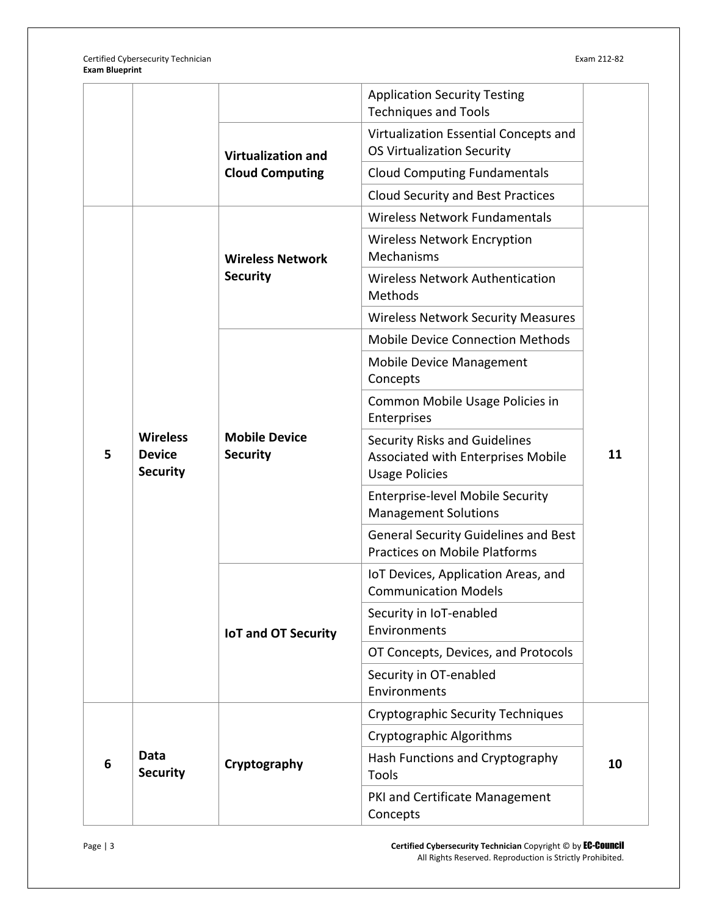Certified Cybersecurity Technician Exam 212-82 **Exam Blueprint**

|   |                                                     |                                                     | <b>Application Security Testing</b><br><b>Techniques and Tools</b>                                  |    |
|---|-----------------------------------------------------|-----------------------------------------------------|-----------------------------------------------------------------------------------------------------|----|
|   |                                                     | <b>Virtualization and</b><br><b>Cloud Computing</b> | Virtualization Essential Concepts and<br><b>OS Virtualization Security</b>                          |    |
|   |                                                     |                                                     | <b>Cloud Computing Fundamentals</b>                                                                 |    |
|   |                                                     |                                                     | <b>Cloud Security and Best Practices</b>                                                            |    |
|   |                                                     |                                                     | Wireless Network Fundamentals                                                                       |    |
|   |                                                     | <b>Wireless Network</b><br><b>Security</b>          | <b>Wireless Network Encryption</b><br>Mechanisms                                                    |    |
|   |                                                     |                                                     | <b>Wireless Network Authentication</b><br>Methods                                                   |    |
|   |                                                     |                                                     | <b>Wireless Network Security Measures</b>                                                           |    |
|   |                                                     | <b>Mobile Device</b><br><b>Security</b>             | <b>Mobile Device Connection Methods</b>                                                             |    |
| 5 | <b>Wireless</b><br><b>Device</b><br><b>Security</b> |                                                     | Mobile Device Management<br>Concepts                                                                | 11 |
|   |                                                     |                                                     | Common Mobile Usage Policies in<br>Enterprises                                                      |    |
|   |                                                     |                                                     | <b>Security Risks and Guidelines</b><br>Associated with Enterprises Mobile<br><b>Usage Policies</b> |    |
|   |                                                     |                                                     | <b>Enterprise-level Mobile Security</b><br><b>Management Solutions</b>                              |    |
|   |                                                     |                                                     | <b>General Security Guidelines and Best</b><br><b>Practices on Mobile Platforms</b>                 |    |
|   |                                                     | <b>IoT and OT Security</b>                          | IoT Devices, Application Areas, and<br><b>Communication Models</b>                                  |    |
|   |                                                     |                                                     | Security in IoT-enabled<br>Environments                                                             |    |
|   |                                                     |                                                     | OT Concepts, Devices, and Protocols                                                                 |    |
|   |                                                     |                                                     | Security in OT-enabled<br>Environments                                                              |    |
| 6 | Data<br><b>Security</b>                             | Cryptography                                        | <b>Cryptographic Security Techniques</b>                                                            | 10 |
|   |                                                     |                                                     | Cryptographic Algorithms                                                                            |    |
|   |                                                     |                                                     | Hash Functions and Cryptography<br>Tools                                                            |    |
|   |                                                     |                                                     | PKI and Certificate Management<br>Concepts                                                          |    |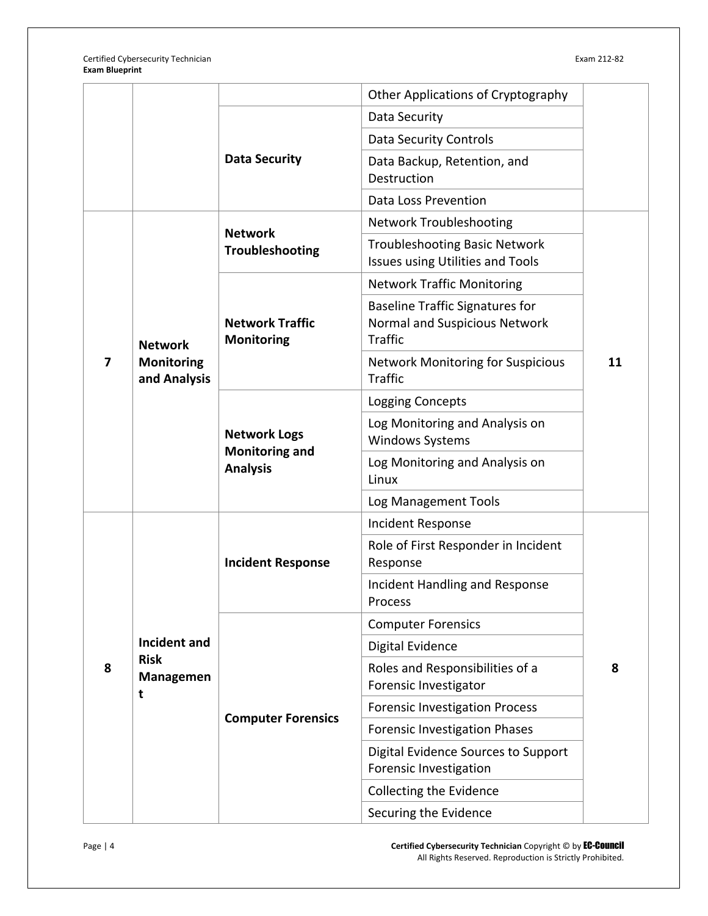|   |                                                      |                                                                 | Other Applications of Cryptography                                                        |    |
|---|------------------------------------------------------|-----------------------------------------------------------------|-------------------------------------------------------------------------------------------|----|
|   |                                                      | <b>Data Security</b>                                            | Data Security                                                                             |    |
|   |                                                      |                                                                 | <b>Data Security Controls</b>                                                             |    |
|   |                                                      |                                                                 | Data Backup, Retention, and<br>Destruction                                                |    |
|   |                                                      |                                                                 | Data Loss Prevention                                                                      |    |
|   |                                                      | <b>Network</b>                                                  | <b>Network Troubleshooting</b>                                                            |    |
|   |                                                      | Troubleshooting                                                 | <b>Troubleshooting Basic Network</b><br>Issues using Utilities and Tools                  | 11 |
|   |                                                      |                                                                 | <b>Network Traffic Monitoring</b>                                                         |    |
|   | <b>Network</b><br><b>Monitoring</b><br>and Analysis  | <b>Network Traffic</b><br><b>Monitoring</b>                     | <b>Baseline Traffic Signatures for</b><br>Normal and Suspicious Network<br><b>Traffic</b> |    |
| 7 |                                                      |                                                                 | <b>Network Monitoring for Suspicious</b><br><b>Traffic</b>                                |    |
|   |                                                      |                                                                 | <b>Logging Concepts</b>                                                                   |    |
|   |                                                      | <b>Network Logs</b><br><b>Monitoring and</b><br><b>Analysis</b> | Log Monitoring and Analysis on<br><b>Windows Systems</b>                                  |    |
|   |                                                      |                                                                 | Log Monitoring and Analysis on<br>Linux                                                   |    |
|   |                                                      |                                                                 | Log Management Tools                                                                      |    |
|   | <b>Incident and</b><br><b>Risk</b><br>Managemen<br>t | <b>Incident Response</b>                                        | Incident Response                                                                         | 8  |
|   |                                                      |                                                                 | Role of First Responder in Incident<br>Response                                           |    |
|   |                                                      |                                                                 | Incident Handling and Response<br>Process                                                 |    |
|   |                                                      | <b>Computer Forensics</b>                                       | <b>Computer Forensics</b>                                                                 |    |
| 8 |                                                      |                                                                 | <b>Digital Evidence</b>                                                                   |    |
|   |                                                      |                                                                 | Roles and Responsibilities of a<br>Forensic Investigator                                  |    |
|   |                                                      |                                                                 | <b>Forensic Investigation Process</b>                                                     |    |
|   |                                                      |                                                                 | <b>Forensic Investigation Phases</b>                                                      |    |
|   |                                                      |                                                                 | Digital Evidence Sources to Support<br>Forensic Investigation                             |    |
|   |                                                      |                                                                 | Collecting the Evidence                                                                   |    |
|   |                                                      |                                                                 | Securing the Evidence                                                                     |    |

Page | 4 **Certified Cybersecurity Technician** Copyright © by EC-Council All Rights Reserved. Reproduction is Strictly Prohibited.